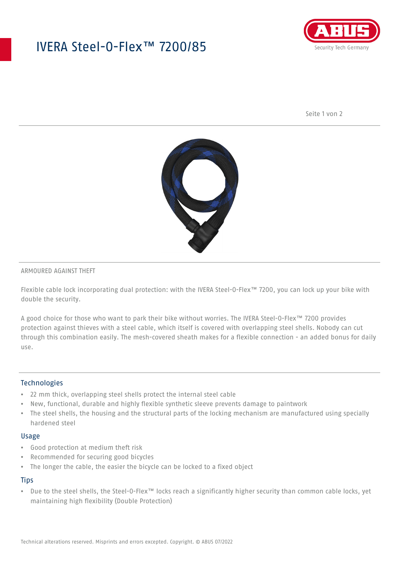# IVERA Steel-O-Flex™ 7200/85



Seite 1 von 2



#### ARMOURED AGAINST THEFT

Flexible cable lock incorporating dual protection: with the IVERA Steel-O-Flex™ 7200, you can lock up your bike with double the security.

A good choice for those who want to park their bike without worries. The IVERA Steel-O-Flex™ 7200 provides protection against thieves with a steel cable, which itself is covered with overlapping steel shells. Nobody can cut through this combination easily. The mesh-covered sheath makes for a flexible connection - an added bonus for daily use.

### Technologies

- 22 mm thick, overlapping steel shells protect the internal steel cable
- New, functional, durable and highly flexible synthetic sleeve prevents damage to paintwork
- The steel shells, the housing and the structural parts of the locking mechanism are manufactured using specially hardened steel

#### Usage

- Good protection at medium theft risk
- Recommended for securing good bicycles
- The longer the cable, the easier the bicycle can be locked to a fixed object

### **Tips**

• Due to the steel shells, the Steel-O-Flex™ locks reach a significantly higher security than common cable locks, yet maintaining high flexibility (Double Protection)